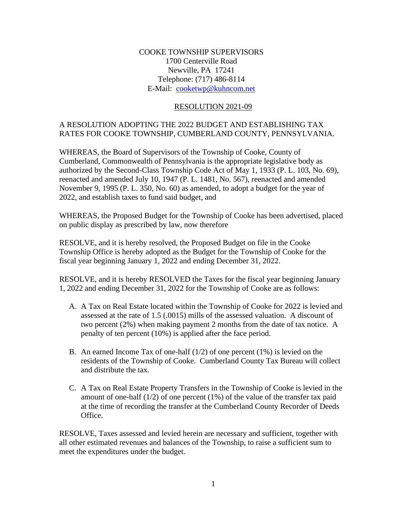### COOKE TOWNSHIP SUPERVISORS 1700 Centerville Road Newville, PA 17241 Telephone: (717) 486-8114 E-Mail: [cooketwp@kuhncom.net](../2017%20Resolutions/cooketwp@kuhncom.net)

#### RESOLUTION 2021-09

### A RESOLUTION ADOPTING THE 2022 BUDGET AND ESTABLISHING TAX RATES FOR COOKE TOWNSHIP, CUMBERLAND COUNTY, PENNSYLVANIA.

WHEREAS, the Board of Supervisors of the Township of Cooke, County of Cumberland, Commonwealth of Pennsylvania is the appropriate legislative body as authorized by the Second-Class Township Code Act of May 1, 1933 (P. L. 103, No. 69), reenacted and amended July 10, 1947 (P. L. 1481, No. 567), reenacted and amended November 9, 1995 (P. L. 350, No. 60) as amended, to adopt a budget for the year of 2022, and establish taxes to fund said budget, and

WHEREAS, the Proposed Budget for the Township of Cooke has been advertised, placed on public display as prescribed by law, now therefore

RESOLVE, and it is hereby resolved, the Proposed Budget on file in the Cooke Township Office is hereby adopted as the Budget for the Township of Cooke for the fiscal year beginning January 1, 2022 and ending December 31, 2022.

RESOLVE, and it is hereby RESOLVED the Taxes for the fiscal year beginning January 1, 2022 and ending December 31, 2022 for the Township of Cooke are as follows:

- A. A Tax on Real Estate located within the Township of Cooke for 2022 is levied and assessed at the rate of 1.5 (.0015) mills of the assessed valuation. A discount of two percent (2%) when making payment 2 months from the date of tax notice. A penalty of ten percent (10%) is applied after the face period.
- B. An earned Income Tax of one-half  $(1/2)$  of one percent  $(1\%)$  is levied on the residents of the Township of Cooke. Cumberland County Tax Bureau will collect and distribute the tax.
- C. A Tax on Real Estate Property Transfers in the Township of Cooke is levied in the amount of one-half  $(1/2)$  of one percent  $(1%)$  of the value of the transfer tax paid at the time of recording the transfer at the Cumberland County Recorder of Deeds Office.

RESOLVE, Taxes assessed and levied herein are necessary and sufficient, together with all other estimated revenues and balances of the Township, to raise a sufficient sum to meet the expenditures under the budget.